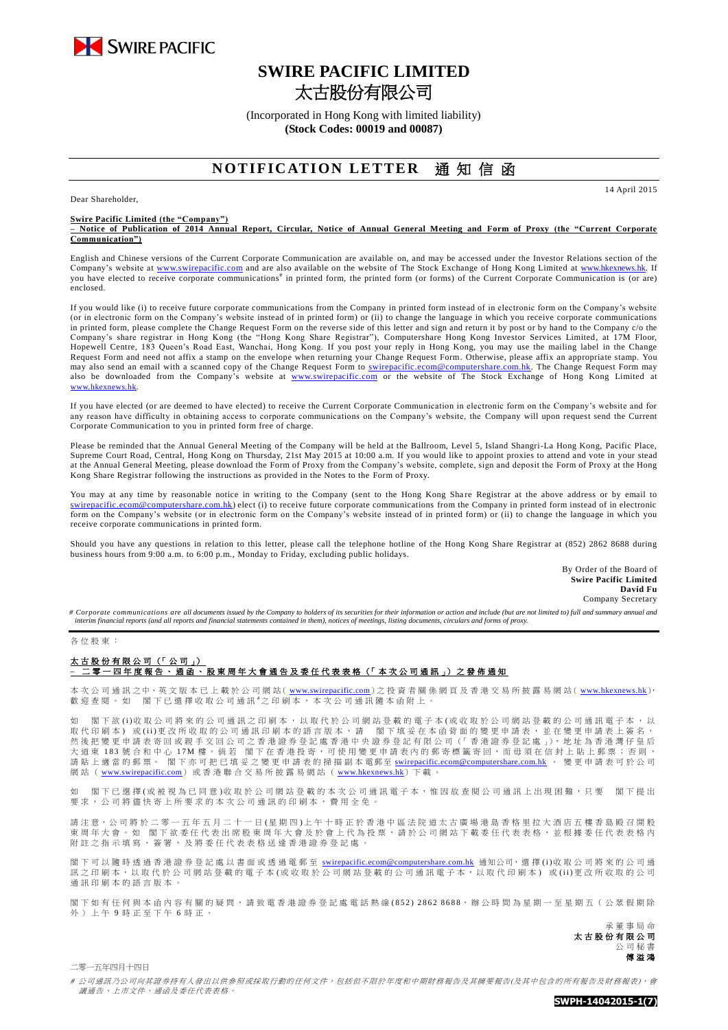

# **SWIRE PACIFIC LIMITED** 太古股份有限公司

(Incorporated in Hong Kong with limited liability) **(Stock Codes: 00019 and 00087)**

# **NOTIFICATION LETTER 涌知信函**

14 April 2015

Dear Shareholder,

### **Swire Pacific Limited (the "Company")**

**– Notice of Publication of 2014 Annual Report, Circular, Notice of Annual General Meeting and Form of Proxy (the "Current Corporate Communication")**

English and Chinese versions of the Current Corporate Communication are available on, and may be accessed under the Investor Relations section of the Company's website at [www.swirepacific.com](http://www.swirepacific.com/) and are also available on the website of The Stock Exchange of Hong Kong Limited at [www.hkexnews.hk.](http://www.hkexnews.hk/) If you have elected to receive corporate communications<sup>#</sup> in printed form, the printed form (or forms) of the Current Corporate Communication is (or are) enclosed.

If you would like (i) to receive future corporate communications from the Company in printed form instead of in electronic form on the Company's website (or in electronic form on the Company's website instead of in printed form) or (ii) to change the language in which you receive corporate communications in printed form, please complete the Change Request Form on the reverse side of this letter and sign and return it by post or by hand to the Company c/o the Company's share registrar in Hong Kong (the "Hong Kong Share Registrar"), Computershare Hong Kong Investor Services Limited, at 17M Floor, Hopewell Centre, 183 Queen's Road East, Wanchai, Hong Kong. If you post your reply in Hong Kong, you may use the mailing label in the Change Request Form and need not affix a stamp on the envelope when returning your Change Request Form. Otherwise, please affix an appropriate stamp. You may also send an email with a scanned copy of the Change Request Form to [swirepacific.ecom@computershare.com.hk.](mailto:swirepacific.ecom@computershare.com.hk) The Change Request Form may also be downloaded from the Company's website at [www.swirepacific.com](http://www.swirepacific.com/) or the website of The Stock Exchange of Hong Kong Limited at [www.hkexnews.hk](http://www.hkexnews.hk/).

If you have elected (or are deemed to have elected) to receive the Current Corporate Communication in electronic form on the Company's website and for any reason have difficulty in obtaining access to corporate communications on the Company's website, the Company will upon request send the Current Corporate Communication to you in printed form free of charge.

Please be reminded that the Annual General Meeting of the Company will be held at the Ballroom, Level 5, Island Shangri-La Hong Kong, Pacific Place, Supreme Court Road, Central, Hong Kong on Thursday, 21st May 2015 at 10:00 a.m. If you would like to appoint proxies to attend and vote in your stead at the Annual General Meeting, please download the Form of Proxy from the Company's website, complete, sign and deposit the Form of Proxy at the Hong Kong Share Registrar following the instructions as provided in the Notes to the Form of Proxy.

You may at any time by reasonable notice in writing to the Company (sent to the Hong Kong Share Registrar at the above address or by email to ic.ecom@computershare.com.hk) elect (i) to receive future corporate communications from the Company in printed form instead of in electronic form on the Company's website (or in electronic form on the Company's website instead of in printed form) or (ii) to change the language in which you receive corporate communications in printed form.

Should you have any questions in relation to this letter, please call the telephone hotline of the Hong Kong Share Registrar at (852) 2862 8688 during business hours from 9:00 a.m. to 6:00 p.m., Monday to Friday, excluding public holidays.

> By Order of the Board of **Swire Pacific Limited David Fu** Company Secretary

*# Corporate communications are all documents issued by the Company to holders of its securities for their information or action and include (but are not limited to) full and summary annual and interim financial reports (and all reports and financial statements contained in them), notices of meetings, listing documents, circulars and forms of proxy.*

#### 各 位 股 東 :

### 太古股份有限公司 (「 公 司 」) –<br>二零 一 四 年 <u>度 報 告 、 通 函 、 股 東 周 年 大 會 通 告 及 委 任 代 表 表 格 (「 本 次 公 司 通 訊 」)之 發 佈 通 知</u>

本 次 公 司 通 訊 之 中、英 文 版 本 已 上 載 於 公 司 網 站( [www.swirepacific.com](http://www.swirepacific.com/)) 之 投 資 者 關 係 網 頁 及 香 港 交 易 所 披 露 易 網 站( [www.hkexnews.hk](http://www.hkexnews.hk/)), 歡 迎 查 閱 。 如 閣 下 已 選 擇 收 取 公 司 通 訊 # 之印刷本, 本次公司通訊隨本函附上 。

閣下欲(i)收取公司將來的公司通訊之印刷本,以取代於公司網站登載的電子本(或收取於公司網站登載的公司通訊電子本,以 取代印刷本)或(ii)更改所收取的公司通訊印刷本的語言版本,請 閣下填妥在本函背面的變更申請表,並在變更申請表上簽名, 然後把變更申請表寄回或親手交回公司之香港證券登記處香港中央證券登記有限公司(「香港證券登記處」), 地址為香港灣仔皇后 大 道 東 183 號 合 和 中 心 17M 樓 。 倘 若 閣 下 在 香 港 投 寄 , 可 使 用 變 更 申 請 表 内 的 郵 寄 標 籤 寄 回 , 而 毋 須 在 信 封 上 貼 上 郵 票 ; 否 則 , 請 貼 上 適 當 的 郵 票 。 閣 下 亦 可 把 已 填 妥 之 變 更 申 請 表 的 掃 描 副 本 電郵至 [swirepacific.ecom@computershare.com.hk](mailto:swirepacific.ecom@computershare.com.hk) 。 變 更 申 請 表 可 於 公 司 網站 ( [www.swirepacific.com](http://www.swirepacific.com/)) 或香港聯合交易所披露易網站 ( [www.hkexnews.hk](http://www.hkexnews.hk/)) 下載

如 閣下已 選擇(或被視為已同意)收取於公司網站登載的本次公司通訊電子本,惟因故查閱公司通訊上出現困難,只要 閣下提出 要求, 公司將儘 快 寄 上 所 要 求 的 本 次 公 司 通 訊 的 印 刷 本 , 費 用 全 免 。

請注意,公司將於二零一五年五月二十一日(星期四)上午十時正於香港中區法院道太古廣場港島香格里拉大酒店五樓香島殿召開股 東 周 年 大 會 。 如 閣 下 欲 委 任 代 表 出 席 股 東 周 年 大 會 及 於 會 上 代 為 投 票 , 請 於 公 司 網 站 下 載 委 任 代 表 表 格 、 並 根 據 委 任 代 表 表 格 内 附 註 之 指 示 填 寫 、 簽 署 , 及 將 季 任 代 表 表 格 送 達 香 港 證 券 登 記 處

閣下 可 以 隨 時 透 過 香 港 證 券 登 記 處 以 書 面 或 透 過 電 郵 至 [swirepacific.ecom@computershare.com.hk](mailto:swirepacific.ecom@computershare.com.hk) 通知公司, 選 擇 (i)收 取 公 司 將 來 的 公 司 通 訊 之 印 刷 本 , 以 取 代 於 公 司 網 站 登 載 的 電 子 本 ( 或 收 取 於 公 司 網 站 登 載 的 公 司 通 訊 電 子 本 , 以 取 代 印 刷 本 ) 或 ( i i ) 更 改 所 收 取 的 公 司 而 三 十 加 十 一 六 六 六 六 六

閣下如 有任何 與 本 函 內 容 有 關 的 疑 問 , 請致電 香 港 證 券 登 記 處 電話熱線 ( 8 5 2 ) 2 8 6 2 8 6 8 8, 辦 公 時 間 為 星 期 一 至 星 期 五 ( 公 眾 假 期 除 外)上午9時正至下午6時正。

> 承董事 局 命 太古股份有限公司 公 司 秘 書 傅溢鴻

二零一五年四月十四日

# 公司通訊乃公司向其證券持有人發出以供參照或採取行動的任何文件,包括但不限於年度和中期財務報告及其摘要報告(及其中包含的所有報告及財務報表)、會 議通告、上市文件、通函及委任代表表格。